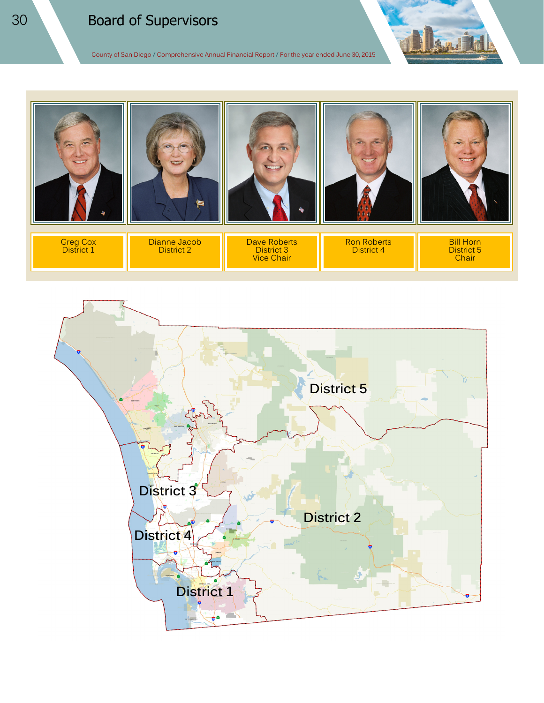# Board of Supervisors

County of San Diego **/** Comprehensive Annual Financial Report **/** For the year ended June 30, 2015



Vice Chair

Chair

**District 5 District 3 District 2 District 4District 1** ۰ô